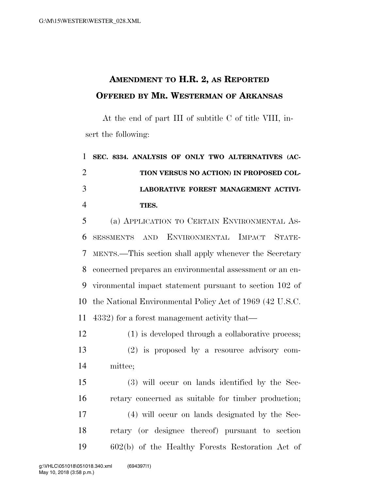## **AMENDMENT TO H.R. 2, AS REPORTED OFFERED BY MR. WESTERMAN OF ARKANSAS**

At the end of part III of subtitle C of title VIII, insert the following:

 **SEC. 8334. ANALYSIS OF ONLY TWO ALTERNATIVES (AC- TION VERSUS NO ACTION) IN PROPOSED COL- LABORATIVE FOREST MANAGEMENT ACTIVI-TIES.** 

 (a) APPLICATION TO CERTAIN ENVIRONMENTAL AS- SESSMENTS AND ENVIRONMENTAL IMPACT STATE- MENTS.—This section shall apply whenever the Secretary concerned prepares an environmental assessment or an en- vironmental impact statement pursuant to section 102 of the National Environmental Policy Act of 1969 (42 U.S.C. 4332) for a forest management activity that—

 (1) is developed through a collaborative process; (2) is proposed by a resource advisory com-mittee;

 (3) will occur on lands identified by the Sec- retary concerned as suitable for timber production; (4) will occur on lands designated by the Sec- retary (or designee thereof) pursuant to section 602(b) of the Healthy Forests Restoration Act of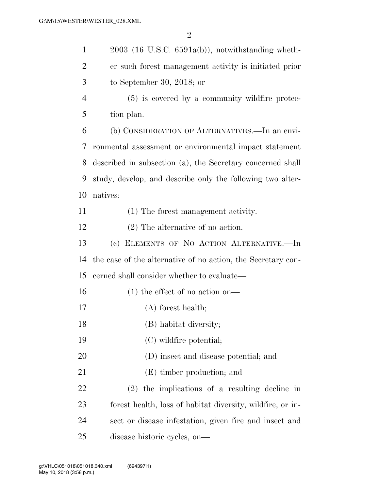| $\mathbf{1}$   | $2003$ (16 U.S.C. 6591a(b)), notwithstanding wheth-          |
|----------------|--------------------------------------------------------------|
| $\overline{2}$ | er such forest management activity is initiated prior        |
| 3              | to September 30, 2018; or                                    |
| $\overline{4}$ | $(5)$ is covered by a community wildfire protec-             |
| 5              | tion plan.                                                   |
| 6              | (b) CONSIDERATION OF ALTERNATIVES.—In an envi-               |
| 7              | ronmental assessment or environmental impact statement       |
| 8              | described in subsection (a), the Secretary concerned shall   |
| 9              | study, develop, and describe only the following two alter-   |
| 10             | natives:                                                     |
| 11             | (1) The forest management activity.                          |
| 12             | $(2)$ The alternative of no action.                          |
| 13             | (c) ELEMENTS OF NO ACTION ALTERNATIVE.-In                    |
| 14             | the case of the alternative of no action, the Secretary con- |
| 15             | cerned shall consider whether to evaluate—                   |
| 16             | $(1)$ the effect of no action on—                            |
| 17             | $(A)$ forest health;                                         |
| 18             | (B) habitat diversity;                                       |
| 19             | (C) wildfire potential;                                      |
| 20             | (D) insect and disease potential; and                        |
| 21             | (E) timber production; and                                   |
| 22             | $(2)$ the implications of a resulting decline in             |
| 23             | forest health, loss of habitat diversity, wildfire, or in-   |
| 24             | sect or disease infestation, given fire and insect and       |
| 25             | disease historic cycles, on-                                 |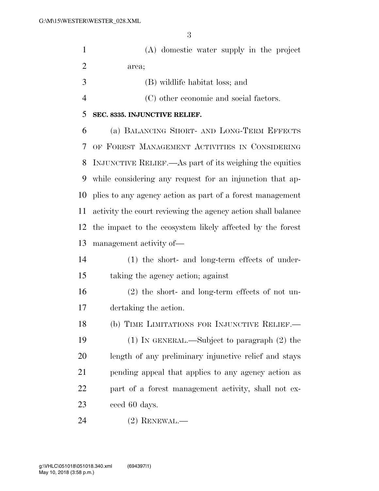(A) domestic water supply in the project area;

- (B) wildlife habitat loss; and
- (C) other economic and social factors.

## **SEC. 8335. INJUNCTIVE RELIEF.**

 (a) BALANCING SHORT- AND LONG-TERM EFFECTS OF FOREST MANAGEMENT ACTIVITIES IN CONSIDERING INJUNCTIVE RELIEF.—As part of its weighing the equities while considering any request for an injunction that ap- plies to any agency action as part of a forest management activity the court reviewing the agency action shall balance the impact to the ecosystem likely affected by the forest management activity of—

- (1) the short- and long-term effects of under-taking the agency action; against
- (2) the short- and long-term effects of not un-dertaking the action.
- 18 (b) TIME LIMITATIONS FOR INJUNCTIVE RELIEF.— (1) IN GENERAL.—Subject to paragraph (2) the length of any preliminary injunctive relief and stays pending appeal that applies to any agency action as part of a forest management activity, shall not ex-ceed 60 days.

(2) RENEWAL.—